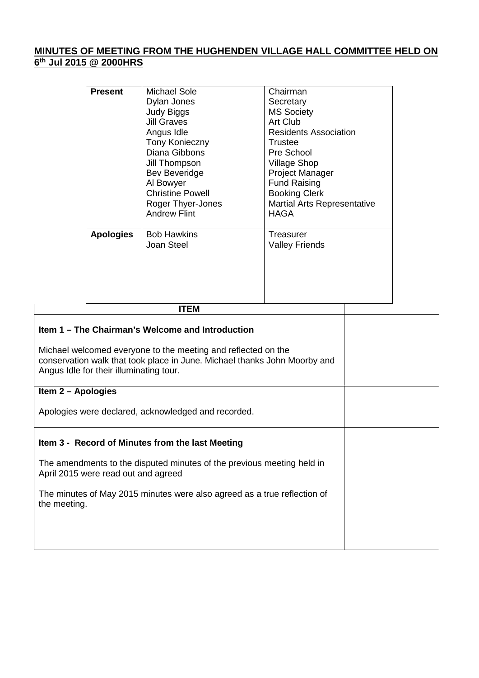## **MINUTES OF MEETING FROM THE HUGHENDEN VILLAGE HALL COMMITTEE HELD ON 6 th Jul 2015 @ 2000HRS**

| <b>Present</b>   | Michael Sole            | Chairman                           |
|------------------|-------------------------|------------------------------------|
|                  | Dylan Jones             | Secretary                          |
|                  | <b>Judy Biggs</b>       | <b>MS Society</b>                  |
|                  | <b>Jill Graves</b>      | Art Club                           |
|                  | Angus Idle              | <b>Residents Association</b>       |
|                  | <b>Tony Konieczny</b>   | Trustee                            |
|                  | Diana Gibbons           | Pre School                         |
|                  | Jill Thompson           | <b>Village Shop</b>                |
|                  | <b>Bev Beveridge</b>    | <b>Project Manager</b>             |
|                  | Al Bowyer               | <b>Fund Raising</b>                |
|                  | <b>Christine Powell</b> | <b>Booking Clerk</b>               |
|                  | Roger Thyer-Jones       | <b>Martial Arts Representative</b> |
|                  | <b>Andrew Flint</b>     | <b>HAGA</b>                        |
|                  |                         |                                    |
| <b>Apologies</b> | <b>Bob Hawkins</b>      | Treasurer                          |
|                  | Joan Steel              | <b>Valley Friends</b>              |
|                  |                         |                                    |
|                  |                         |                                    |
|                  |                         |                                    |
|                  |                         |                                    |
|                  | ,,,,,,                  |                                    |

| <b>ITEM</b>                                                                                                                                                                           |  |
|---------------------------------------------------------------------------------------------------------------------------------------------------------------------------------------|--|
| Item 1 – The Chairman's Welcome and Introduction                                                                                                                                      |  |
| Michael welcomed everyone to the meeting and reflected on the<br>conservation walk that took place in June. Michael thanks John Moorby and<br>Angus Idle for their illuminating tour. |  |
| Item 2 - Apologies                                                                                                                                                                    |  |
| Apologies were declared, acknowledged and recorded.                                                                                                                                   |  |
| Item 3 - Record of Minutes from the last Meeting                                                                                                                                      |  |
| The amendments to the disputed minutes of the previous meeting held in<br>April 2015 were read out and agreed                                                                         |  |
| The minutes of May 2015 minutes were also agreed as a true reflection of<br>the meeting.                                                                                              |  |
|                                                                                                                                                                                       |  |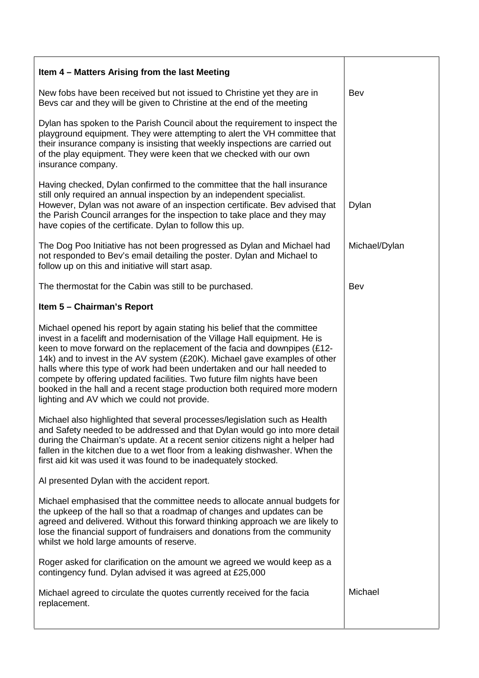| Item 4 – Matters Arising from the last Meeting                                                                                                                                                                                                                                                                                                                                                                                                                                                                                                                                                         |               |
|--------------------------------------------------------------------------------------------------------------------------------------------------------------------------------------------------------------------------------------------------------------------------------------------------------------------------------------------------------------------------------------------------------------------------------------------------------------------------------------------------------------------------------------------------------------------------------------------------------|---------------|
| New fobs have been received but not issued to Christine yet they are in<br>Bevs car and they will be given to Christine at the end of the meeting                                                                                                                                                                                                                                                                                                                                                                                                                                                      | Bev           |
| Dylan has spoken to the Parish Council about the requirement to inspect the<br>playground equipment. They were attempting to alert the VH committee that<br>their insurance company is insisting that weekly inspections are carried out<br>of the play equipment. They were keen that we checked with our own<br>insurance company.                                                                                                                                                                                                                                                                   |               |
| Having checked, Dylan confirmed to the committee that the hall insurance<br>still only required an annual inspection by an independent specialist.<br>However, Dylan was not aware of an inspection certificate. Bev advised that<br>the Parish Council arranges for the inspection to take place and they may<br>have copies of the certificate. Dylan to follow this up.                                                                                                                                                                                                                             | Dylan         |
| The Dog Poo Initiative has not been progressed as Dylan and Michael had<br>not responded to Bev's email detailing the poster. Dylan and Michael to<br>follow up on this and initiative will start asap.                                                                                                                                                                                                                                                                                                                                                                                                | Michael/Dylan |
| The thermostat for the Cabin was still to be purchased.                                                                                                                                                                                                                                                                                                                                                                                                                                                                                                                                                | Bev           |
| Item 5 - Chairman's Report                                                                                                                                                                                                                                                                                                                                                                                                                                                                                                                                                                             |               |
| Michael opened his report by again stating his belief that the committee<br>invest in a facelift and modernisation of the Village Hall equipment. He is<br>keen to move forward on the replacement of the facia and downpipes (£12-<br>14k) and to invest in the AV system (£20K). Michael gave examples of other<br>halls where this type of work had been undertaken and our hall needed to<br>compete by offering updated facilities. Two future film nights have been<br>booked in the hall and a recent stage production both required more modern<br>lighting and AV which we could not provide. |               |
| Michael also highlighted that several processes/legislation such as Health<br>and Safety needed to be addressed and that Dylan would go into more detail<br>during the Chairman's update. At a recent senior citizens night a helper had<br>fallen in the kitchen due to a wet floor from a leaking dishwasher. When the<br>first aid kit was used it was found to be inadequately stocked.                                                                                                                                                                                                            |               |
| Al presented Dylan with the accident report.                                                                                                                                                                                                                                                                                                                                                                                                                                                                                                                                                           |               |
| Michael emphasised that the committee needs to allocate annual budgets for<br>the upkeep of the hall so that a roadmap of changes and updates can be<br>agreed and delivered. Without this forward thinking approach we are likely to<br>lose the financial support of fundraisers and donations from the community<br>whilst we hold large amounts of reserve.                                                                                                                                                                                                                                        |               |
| Roger asked for clarification on the amount we agreed we would keep as a<br>contingency fund. Dylan advised it was agreed at £25,000                                                                                                                                                                                                                                                                                                                                                                                                                                                                   |               |
| Michael agreed to circulate the quotes currently received for the facia<br>replacement.                                                                                                                                                                                                                                                                                                                                                                                                                                                                                                                | Michael       |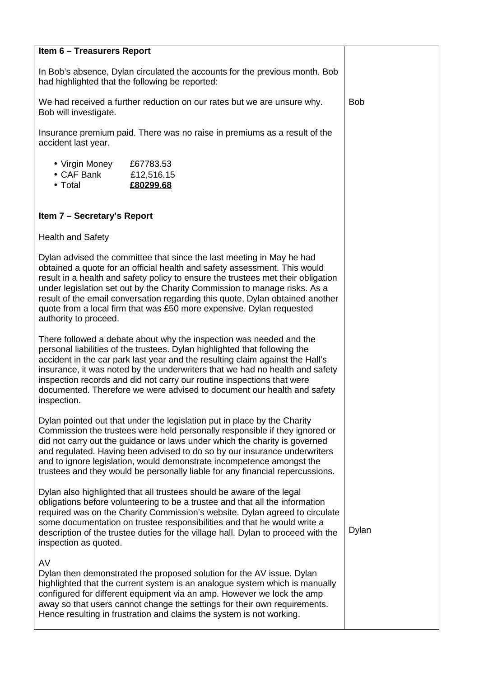| Item 6 - Treasurers Report                                                                                                                                                                                                                                                                                                                                                                                                                                                                            |                                      |            |
|-------------------------------------------------------------------------------------------------------------------------------------------------------------------------------------------------------------------------------------------------------------------------------------------------------------------------------------------------------------------------------------------------------------------------------------------------------------------------------------------------------|--------------------------------------|------------|
| In Bob's absence, Dylan circulated the accounts for the previous month. Bob<br>had highlighted that the following be reported:                                                                                                                                                                                                                                                                                                                                                                        |                                      |            |
| We had received a further reduction on our rates but we are unsure why.<br>Bob will investigate.                                                                                                                                                                                                                                                                                                                                                                                                      |                                      | <b>Bob</b> |
| Insurance premium paid. There was no raise in premiums as a result of the<br>accident last year.                                                                                                                                                                                                                                                                                                                                                                                                      |                                      |            |
| • Virgin Money<br>• CAF Bank<br>$\bullet$ Total                                                                                                                                                                                                                                                                                                                                                                                                                                                       | £67783.53<br>£12,516.15<br>£80299.68 |            |
| Item 7 - Secretary's Report                                                                                                                                                                                                                                                                                                                                                                                                                                                                           |                                      |            |
| <b>Health and Safety</b>                                                                                                                                                                                                                                                                                                                                                                                                                                                                              |                                      |            |
| Dylan advised the committee that since the last meeting in May he had<br>obtained a quote for an official health and safety assessment. This would<br>result in a health and safety policy to ensure the trustees met their obligation<br>under legislation set out by the Charity Commission to manage risks. As a<br>result of the email conversation regarding this quote, Dylan obtained another<br>quote from a local firm that was £50 more expensive. Dylan requested<br>authority to proceed. |                                      |            |
| There followed a debate about why the inspection was needed and the<br>personal liabilities of the trustees. Dylan highlighted that following the<br>accident in the car park last year and the resulting claim against the Hall's<br>insurance, it was noted by the underwriters that we had no health and safety<br>inspection records and did not carry our routine inspections that were<br>documented. Therefore we were advised to document our health and safety<br>inspection.                |                                      |            |
| Dylan pointed out that under the legislation put in place by the Charity<br>Commission the trustees were held personally responsible if they ignored or<br>did not carry out the guidance or laws under which the charity is governed<br>and regulated. Having been advised to do so by our insurance underwriters<br>and to ignore legislation, would demonstrate incompetence amongst the<br>trustees and they would be personally liable for any financial repercussions.                          |                                      |            |
| Dylan also highlighted that all trustees should be aware of the legal<br>obligations before volunteering to be a trustee and that all the information<br>required was on the Charity Commission's website. Dylan agreed to circulate<br>some documentation on trustee responsibilities and that he would write a<br>description of the trustee duties for the village hall. Dylan to proceed with the<br>inspection as quoted.                                                                        |                                      | Dylan      |
| AV<br>Dylan then demonstrated the proposed solution for the AV issue. Dylan<br>highlighted that the current system is an analogue system which is manually<br>configured for different equipment via an amp. However we lock the amp<br>away so that users cannot change the settings for their own requirements.<br>Hence resulting in frustration and claims the system is not working.                                                                                                             |                                      |            |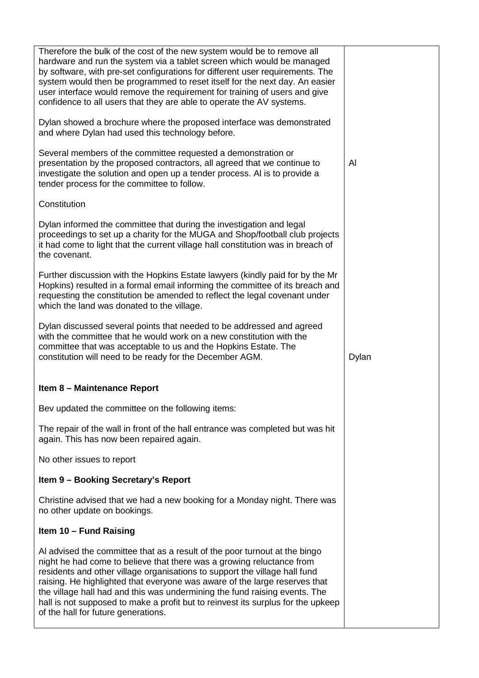| Therefore the bulk of the cost of the new system would be to remove all<br>hardware and run the system via a tablet screen which would be managed<br>by software, with pre-set configurations for different user requirements. The<br>system would then be programmed to reset itself for the next day. An easier<br>user interface would remove the requirement for training of users and give<br>confidence to all users that they are able to operate the AV systems.                                                 |       |
|--------------------------------------------------------------------------------------------------------------------------------------------------------------------------------------------------------------------------------------------------------------------------------------------------------------------------------------------------------------------------------------------------------------------------------------------------------------------------------------------------------------------------|-------|
| Dylan showed a brochure where the proposed interface was demonstrated<br>and where Dylan had used this technology before.                                                                                                                                                                                                                                                                                                                                                                                                |       |
| Several members of the committee requested a demonstration or<br>presentation by the proposed contractors, all agreed that we continue to<br>investigate the solution and open up a tender process. Al is to provide a<br>tender process for the committee to follow.                                                                                                                                                                                                                                                    | Al    |
| Constitution                                                                                                                                                                                                                                                                                                                                                                                                                                                                                                             |       |
| Dylan informed the committee that during the investigation and legal<br>proceedings to set up a charity for the MUGA and Shop/football club projects<br>it had come to light that the current village hall constitution was in breach of<br>the covenant.                                                                                                                                                                                                                                                                |       |
| Further discussion with the Hopkins Estate lawyers (kindly paid for by the Mr<br>Hopkins) resulted in a formal email informing the committee of its breach and<br>requesting the constitution be amended to reflect the legal covenant under<br>which the land was donated to the village.                                                                                                                                                                                                                               |       |
| Dylan discussed several points that needed to be addressed and agreed<br>with the committee that he would work on a new constitution with the<br>committee that was acceptable to us and the Hopkins Estate. The<br>constitution will need to be ready for the December AGM.                                                                                                                                                                                                                                             | Dylan |
| Item 8 - Maintenance Report                                                                                                                                                                                                                                                                                                                                                                                                                                                                                              |       |
| Bev updated the committee on the following items:                                                                                                                                                                                                                                                                                                                                                                                                                                                                        |       |
| The repair of the wall in front of the hall entrance was completed but was hit<br>again. This has now been repaired again.                                                                                                                                                                                                                                                                                                                                                                                               |       |
| No other issues to report                                                                                                                                                                                                                                                                                                                                                                                                                                                                                                |       |
| Item 9 - Booking Secretary's Report                                                                                                                                                                                                                                                                                                                                                                                                                                                                                      |       |
| Christine advised that we had a new booking for a Monday night. There was<br>no other update on bookings.                                                                                                                                                                                                                                                                                                                                                                                                                |       |
| Item 10 - Fund Raising                                                                                                                                                                                                                                                                                                                                                                                                                                                                                                   |       |
| Al advised the committee that as a result of the poor turnout at the bingo<br>night he had come to believe that there was a growing reluctance from<br>residents and other village organisations to support the village hall fund<br>raising. He highlighted that everyone was aware of the large reserves that<br>the village hall had and this was undermining the fund raising events. The<br>hall is not supposed to make a profit but to reinvest its surplus for the upkeep<br>of the hall for future generations. |       |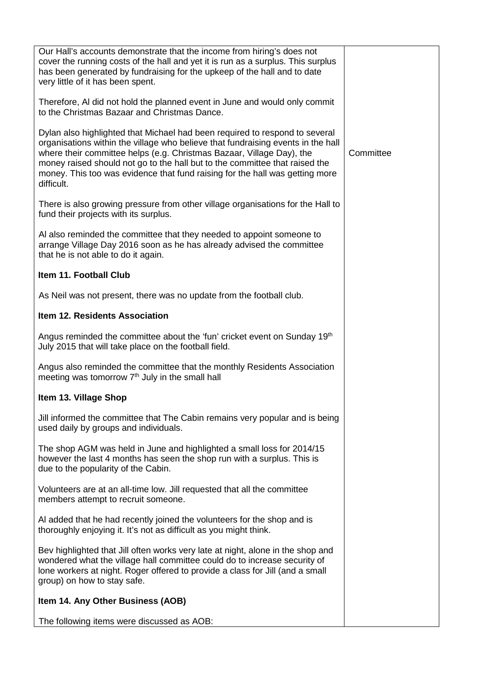| Our Hall's accounts demonstrate that the income from hiring's does not<br>cover the running costs of the hall and yet it is run as a surplus. This surplus<br>has been generated by fundraising for the upkeep of the hall and to date<br>very little of it has been spent.                                                                                                                                           |           |
|-----------------------------------------------------------------------------------------------------------------------------------------------------------------------------------------------------------------------------------------------------------------------------------------------------------------------------------------------------------------------------------------------------------------------|-----------|
| Therefore, AI did not hold the planned event in June and would only commit<br>to the Christmas Bazaar and Christmas Dance.                                                                                                                                                                                                                                                                                            |           |
| Dylan also highlighted that Michael had been required to respond to several<br>organisations within the village who believe that fundraising events in the hall<br>where their committee helps (e.g. Christmas Bazaar, Village Day), the<br>money raised should not go to the hall but to the committee that raised the<br>money. This too was evidence that fund raising for the hall was getting more<br>difficult. | Committee |
| There is also growing pressure from other village organisations for the Hall to<br>fund their projects with its surplus.                                                                                                                                                                                                                                                                                              |           |
| Al also reminded the committee that they needed to appoint someone to<br>arrange Village Day 2016 soon as he has already advised the committee<br>that he is not able to do it again.                                                                                                                                                                                                                                 |           |
| Item 11. Football Club                                                                                                                                                                                                                                                                                                                                                                                                |           |
| As Neil was not present, there was no update from the football club.                                                                                                                                                                                                                                                                                                                                                  |           |
| Item 12. Residents Association                                                                                                                                                                                                                                                                                                                                                                                        |           |
| Angus reminded the committee about the 'fun' cricket event on Sunday 19th<br>July 2015 that will take place on the football field.                                                                                                                                                                                                                                                                                    |           |
| Angus also reminded the committee that the monthly Residents Association<br>meeting was tomorrow $7th$ July in the small hall                                                                                                                                                                                                                                                                                         |           |
| Item 13. Village Shop                                                                                                                                                                                                                                                                                                                                                                                                 |           |
| Jill informed the committee that The Cabin remains very popular and is being<br>used daily by groups and individuals.                                                                                                                                                                                                                                                                                                 |           |
| The shop AGM was held in June and highlighted a small loss for 2014/15<br>however the last 4 months has seen the shop run with a surplus. This is<br>due to the popularity of the Cabin.                                                                                                                                                                                                                              |           |
| Volunteers are at an all-time low. Jill requested that all the committee<br>members attempt to recruit someone.                                                                                                                                                                                                                                                                                                       |           |
| Al added that he had recently joined the volunteers for the shop and is<br>thoroughly enjoying it. It's not as difficult as you might think.                                                                                                                                                                                                                                                                          |           |
| Bev highlighted that Jill often works very late at night, alone in the shop and<br>wondered what the village hall committee could do to increase security of<br>lone workers at night. Roger offered to provide a class for Jill (and a small<br>group) on how to stay safe.                                                                                                                                          |           |
| Item 14. Any Other Business (AOB)                                                                                                                                                                                                                                                                                                                                                                                     |           |
| The following items were discussed as AOB:                                                                                                                                                                                                                                                                                                                                                                            |           |